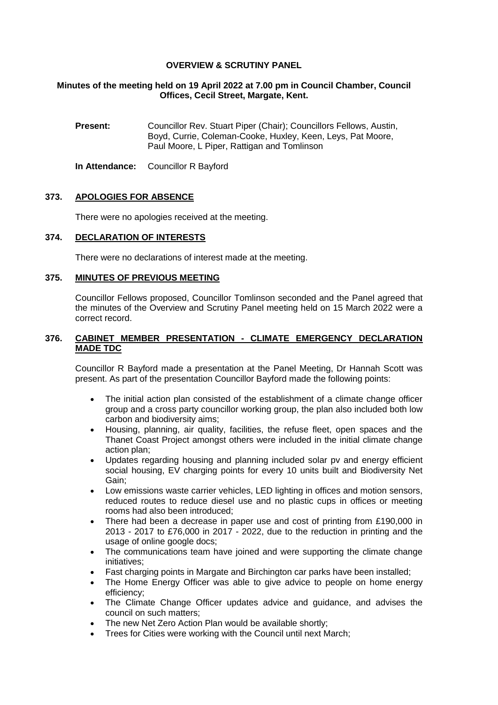## **OVERVIEW & SCRUTINY PANEL**

### **Minutes of the meeting held on 19 April 2022 at 7.00 pm in Council Chamber, Council Offices, Cecil Street, Margate, Kent.**

**Present:** Councillor Rev. Stuart Piper (Chair); Councillors Fellows, Austin, Boyd, Currie, Coleman-Cooke, Huxley, Keen, Leys, Pat Moore, Paul Moore, L Piper, Rattigan and Tomlinson

**In Attendance:** Councillor R Bayford

# **373. APOLOGIES FOR ABSENCE**

There were no apologies received at the meeting.

# **374. DECLARATION OF INTERESTS**

There were no declarations of interest made at the meeting.

### **375. MINUTES OF PREVIOUS MEETING**

Councillor Fellows proposed, Councillor Tomlinson seconded and the Panel agreed that the minutes of the Overview and Scrutiny Panel meeting held on 15 March 2022 were a correct record.

### **376. CABINET MEMBER PRESENTATION - CLIMATE EMERGENCY DECLARATION MADE TDC**

Councillor R Bayford made a presentation at the Panel Meeting, Dr Hannah Scott was present. As part of the presentation Councillor Bayford made the following points:

- The initial action plan consisted of the establishment of a climate change officer group and a cross party councillor working group, the plan also included both low carbon and biodiversity aims;
- Housing, planning, air quality, facilities, the refuse fleet, open spaces and the Thanet Coast Project amongst others were included in the initial climate change action plan;
- Updates regarding housing and planning included solar pv and energy efficient social housing, EV charging points for every 10 units built and Biodiversity Net Gain;
- Low emissions waste carrier vehicles, LED lighting in offices and motion sensors, reduced routes to reduce diesel use and no plastic cups in offices or meeting rooms had also been introduced;
- There had been a decrease in paper use and cost of printing from £190,000 in 2013 - 2017 to £76,000 in 2017 - 2022, due to the reduction in printing and the usage of online google docs;
- The communications team have joined and were supporting the climate change initiatives;
- Fast charging points in Margate and Birchington car parks have been installed;
- The Home Energy Officer was able to give advice to people on home energy efficiency;
- The Climate Change Officer updates advice and guidance, and advises the council on such matters;
- The new Net Zero Action Plan would be available shortly;
- Trees for Cities were working with the Council until next March;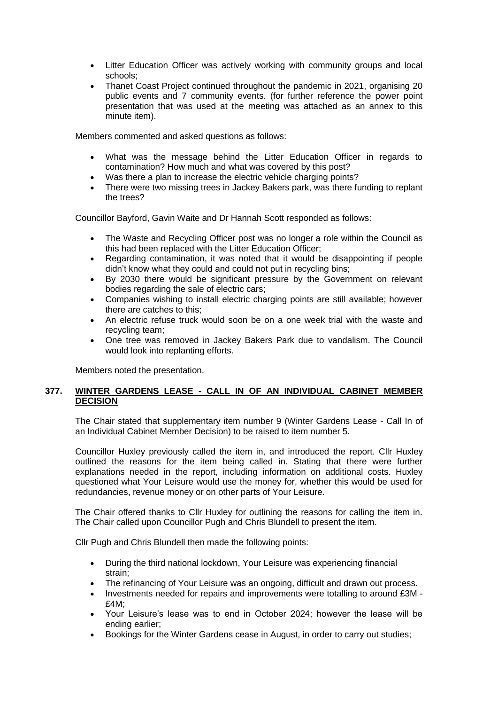- Litter Education Officer was actively working with community groups and local schools;
- Thanet Coast Project continued throughout the pandemic in 2021, organising 20 public events and 7 community events. (for further reference the power point presentation that was used at the meeting was attached as an annex to this minute item).

Members commented and asked questions as follows:

- What was the message behind the Litter Education Officer in regards to contamination? How much and what was covered by this post?
- Was there a plan to increase the electric vehicle charging points?
- There were two missing trees in Jackey Bakers park, was there funding to replant the trees?

Councillor Bayford, Gavin Waite and Dr Hannah Scott responded as follows:

- The Waste and Recycling Officer post was no longer a role within the Council as this had been replaced with the Litter Education Officer;
- Regarding contamination, it was noted that it would be disappointing if people didn't know what they could and could not put in recycling bins;
- By 2030 there would be significant pressure by the Government on relevant bodies regarding the sale of electric cars;
- Companies wishing to install electric charging points are still available; however there are catches to this;
- An electric refuse truck would soon be on a one week trial with the waste and recycling team;
- One tree was removed in Jackey Bakers Park due to vandalism. The Council would look into replanting efforts.

Members noted the presentation.

# **377. WINTER GARDENS LEASE - CALL IN OF AN INDIVIDUAL CABINET MEMBER DECISION**

The Chair stated that supplementary item number 9 (Winter Gardens Lease - Call In of an Individual Cabinet Member Decision) to be raised to item number 5.

Councillor Huxley previously called the item in, and introduced the report. Cllr Huxley outlined the reasons for the item being called in. Stating that there were further explanations needed in the report, including information on additional costs. Huxley questioned what Your Leisure would use the money for, whether this would be used for redundancies, revenue money or on other parts of Your Leisure.

The Chair offered thanks to Cllr Huxley for outlining the reasons for calling the item in. The Chair called upon Councillor Pugh and Chris Blundell to present the item.

Cllr Pugh and Chris Blundell then made the following points:

- During the third national lockdown, Your Leisure was experiencing financial strain;
- The refinancing of Your Leisure was an ongoing, difficult and drawn out process.
- Investments needed for repairs and improvements were totalling to around £3M -£4M;
- Your Leisure's lease was to end in October 2024; however the lease will be ending earlier;
- Bookings for the Winter Gardens cease in August, in order to carry out studies;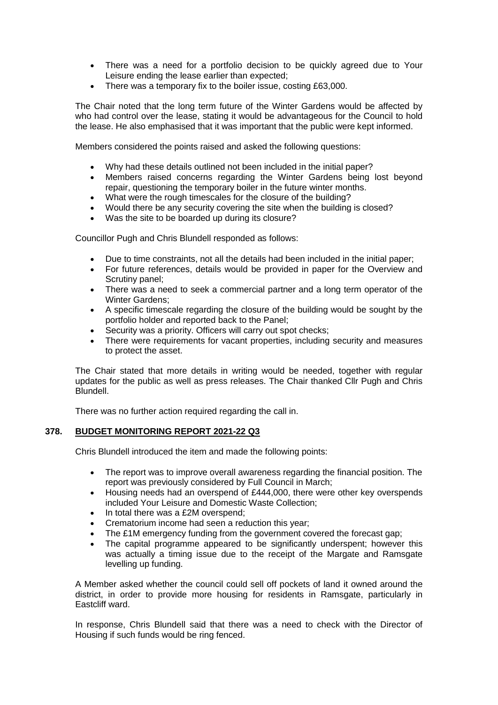- There was a need for a portfolio decision to be quickly agreed due to Your Leisure ending the lease earlier than expected;
- There was a temporary fix to the boiler issue, costing £63,000.

The Chair noted that the long term future of the Winter Gardens would be affected by who had control over the lease, stating it would be advantageous for the Council to hold the lease. He also emphasised that it was important that the public were kept informed.

Members considered the points raised and asked the following questions:

- Why had these details outlined not been included in the initial paper?
- Members raised concerns regarding the Winter Gardens being lost beyond repair, questioning the temporary boiler in the future winter months.
- What were the rough timescales for the closure of the building?
- Would there be any security covering the site when the building is closed?
- Was the site to be boarded up during its closure?

Councillor Pugh and Chris Blundell responded as follows:

- Due to time constraints, not all the details had been included in the initial paper;
- For future references, details would be provided in paper for the Overview and Scrutiny panel;
- There was a need to seek a commercial partner and a long term operator of the Winter Gardens;
- A specific timescale regarding the closure of the building would be sought by the portfolio holder and reported back to the Panel;
- Security was a priority. Officers will carry out spot checks;
- There were requirements for vacant properties, including security and measures to protect the asset.

The Chair stated that more details in writing would be needed, together with regular updates for the public as well as press releases. The Chair thanked Cllr Pugh and Chris Blundell.

There was no further action required regarding the call in.

# **378. BUDGET MONITORING REPORT 2021-22 Q3**

Chris Blundell introduced the item and made the following points:

- The report was to improve overall awareness regarding the financial position. The report was previously considered by Full Council in March;
- Housing needs had an overspend of £444,000, there were other key overspends included Your Leisure and Domestic Waste Collection;
- In total there was a £2M overspend;
- Crematorium income had seen a reduction this year;
- The £1M emergency funding from the government covered the forecast gap;
- The capital programme appeared to be significantly underspent; however this was actually a timing issue due to the receipt of the Margate and Ramsgate levelling up funding.

A Member asked whether the council could sell off pockets of land it owned around the district, in order to provide more housing for residents in Ramsgate, particularly in Eastcliff ward.

In response, Chris Blundell said that there was a need to check with the Director of Housing if such funds would be ring fenced.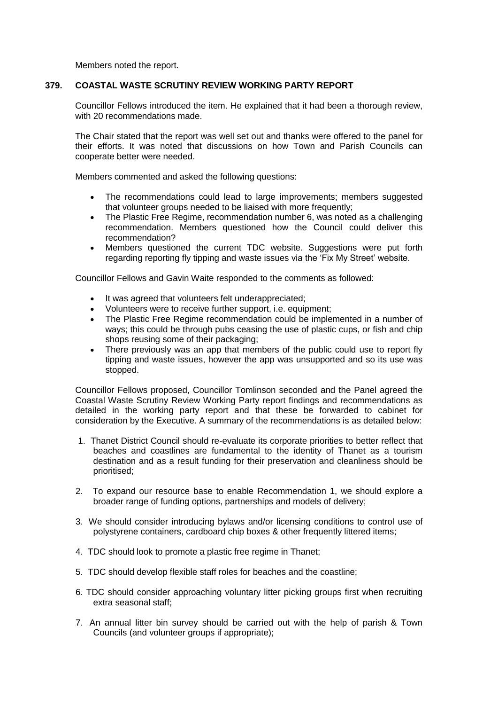Members noted the report.

# **379. COASTAL WASTE SCRUTINY REVIEW WORKING PARTY REPORT**

Councillor Fellows introduced the item. He explained that it had been a thorough review, with 20 recommendations made.

The Chair stated that the report was well set out and thanks were offered to the panel for their efforts. It was noted that discussions on how Town and Parish Councils can cooperate better were needed.

Members commented and asked the following questions:

- The recommendations could lead to large improvements; members suggested that volunteer groups needed to be liaised with more frequently;
- The Plastic Free Regime, recommendation number 6, was noted as a challenging recommendation. Members questioned how the Council could deliver this recommendation?
- Members questioned the current TDC website. Suggestions were put forth regarding reporting fly tipping and waste issues via the 'Fix My Street' website.

Councillor Fellows and Gavin Waite responded to the comments as followed:

- It was agreed that volunteers felt underappreciated;
- Volunteers were to receive further support, i.e. equipment;
- The Plastic Free Regime recommendation could be implemented in a number of ways; this could be through pubs ceasing the use of plastic cups, or fish and chip shops reusing some of their packaging;
- There previously was an app that members of the public could use to report fly tipping and waste issues, however the app was unsupported and so its use was stopped.

Councillor Fellows proposed, Councillor Tomlinson seconded and the Panel agreed the Coastal Waste Scrutiny Review Working Party report findings and recommendations as detailed in the working party report and that these be forwarded to cabinet for consideration by the Executive. A summary of the recommendations is as detailed below:

- 1. Thanet District Council should re-evaluate its corporate priorities to better reflect that beaches and coastlines are fundamental to the identity of Thanet as a tourism destination and as a result funding for their preservation and cleanliness should be prioritised;
- 2. To expand our resource base to enable Recommendation 1, we should explore a broader range of funding options, partnerships and models of delivery;
- 3. We should consider introducing bylaws and/or licensing conditions to control use of polystyrene containers, cardboard chip boxes & other frequently littered items;
- 4. TDC should look to promote a plastic free regime in Thanet;
- 5. TDC should develop flexible staff roles for beaches and the coastline;
- 6. TDC should consider approaching voluntary litter picking groups first when recruiting extra seasonal staff;
- 7. An annual litter bin survey should be carried out with the help of parish & Town Councils (and volunteer groups if appropriate);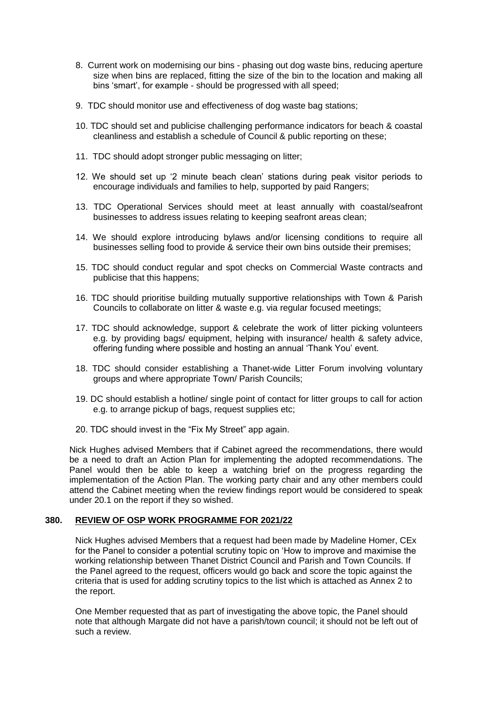- 8. Current work on modernising our bins phasing out dog waste bins, reducing aperture size when bins are replaced, fitting the size of the bin to the location and making all bins 'smart', for example - should be progressed with all speed;
- 9. TDC should monitor use and effectiveness of dog waste bag stations;
- 10. TDC should set and publicise challenging performance indicators for beach & coastal cleanliness and establish a schedule of Council & public reporting on these;
- 11. TDC should adopt stronger public messaging on litter;
- 12. We should set up '2 minute beach clean' stations during peak visitor periods to encourage individuals and families to help, supported by paid Rangers;
- 13. TDC Operational Services should meet at least annually with coastal/seafront businesses to address issues relating to keeping seafront areas clean;
- 14. We should explore introducing bylaws and/or licensing conditions to require all businesses selling food to provide & service their own bins outside their premises;
- 15. TDC should conduct regular and spot checks on Commercial Waste contracts and publicise that this happens;
- 16. TDC should prioritise building mutually supportive relationships with Town & Parish Councils to collaborate on litter & waste e.g. via regular focused meetings;
- 17. TDC should acknowledge, support & celebrate the work of litter picking volunteers e.g. by providing bags/ equipment, helping with insurance/ health & safety advice, offering funding where possible and hosting an annual 'Thank You' event.
- 18. TDC should consider establishing a Thanet-wide Litter Forum involving voluntary groups and where appropriate Town/ Parish Councils;
- 19. DC should establish a hotline/ single point of contact for litter groups to call for action e.g. to arrange pickup of bags, request supplies etc;
- 20. TDC should invest in the "Fix My Street" app again.

Nick Hughes advised Members that if Cabinet agreed the recommendations, there would be a need to draft an Action Plan for implementing the adopted recommendations. The Panel would then be able to keep a watching brief on the progress regarding the implementation of the Action Plan. The working party chair and any other members could attend the Cabinet meeting when the review findings report would be considered to speak under 20.1 on the report if they so wished.

### **380. REVIEW OF OSP WORK PROGRAMME FOR 2021/22**

Nick Hughes advised Members that a request had been made by Madeline Homer, CEx for the Panel to consider a potential scrutiny topic on 'How to improve and maximise the working relationship between Thanet District Council and Parish and Town Councils. If the Panel agreed to the request, officers would go back and score the topic against the criteria that is used for adding scrutiny topics to the list which is attached as Annex 2 to the report.

One Member requested that as part of investigating the above topic, the Panel should note that although Margate did not have a parish/town council; it should not be left out of such a review.